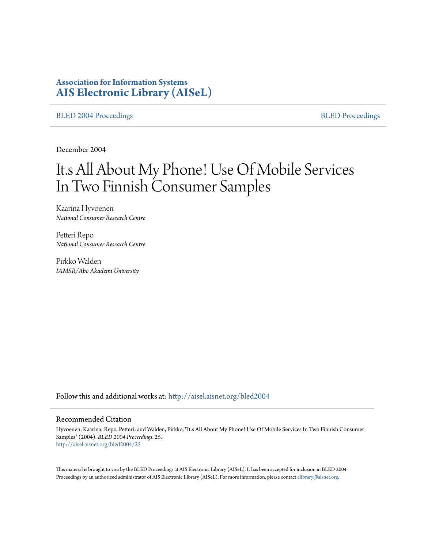# **Association for Information Systems [AIS Electronic Library \(AISeL\)](http://aisel.aisnet.org?utm_source=aisel.aisnet.org%2Fbled2004%2F25&utm_medium=PDF&utm_campaign=PDFCoverPages)**

[BLED 2004 Proceedings](http://aisel.aisnet.org/bled2004?utm_source=aisel.aisnet.org%2Fbled2004%2F25&utm_medium=PDF&utm_campaign=PDFCoverPages) **[BLED Proceedings](http://aisel.aisnet.org/bled?utm_source=aisel.aisnet.org%2Fbled2004%2F25&utm_medium=PDF&utm_campaign=PDFCoverPages)** 

December 2004

# It.s All About My Phone! Use Of Mobile Services In Two Finnish Consumer Samples

Kaarina Hyvoenen *National Consumer Research Centre*

Petteri Repo *National Consumer Research Centre*

Pirkko Walden *IAMSR/Abo Akademi University*

Follow this and additional works at: [http://aisel.aisnet.org/bled2004](http://aisel.aisnet.org/bled2004?utm_source=aisel.aisnet.org%2Fbled2004%2F25&utm_medium=PDF&utm_campaign=PDFCoverPages)

#### Recommended Citation

Hyvoenen, Kaarina; Repo, Petteri; and Walden, Pirkko, "It.s All About My Phone! Use Of Mobile Services In Two Finnish Consumer Samples" (2004). *BLED 2004 Proceedings*. 25. [http://aisel.aisnet.org/bled2004/25](http://aisel.aisnet.org/bled2004/25?utm_source=aisel.aisnet.org%2Fbled2004%2F25&utm_medium=PDF&utm_campaign=PDFCoverPages)

This material is brought to you by the BLED Proceedings at AIS Electronic Library (AISeL). It has been accepted for inclusion in BLED 2004 Proceedings by an authorized administrator of AIS Electronic Library (AISeL). For more information, please contact [elibrary@aisnet.org](mailto:elibrary@aisnet.org%3E).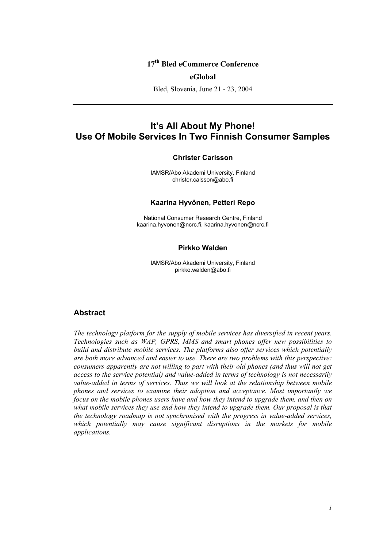# **17th Bled eCommerce Conference**

#### **eGlobal**

Bled, Slovenia, June 21 - 23, 2004

# **It's All About My Phone! Use Of Mobile Services In Two Finnish Consumer Samples**

#### **Christer Carlsson**

IAMSR/Abo Akademi University, Finland christer.calsson@abo.fi

#### **Kaarina Hyvönen, Petteri Repo**

National Consumer Research Centre, Finland kaarina.hyvonen@ncrc.fi, kaarina.hyvonen@ncrc.fi

## **Pirkko Walden**

IAMSR/Abo Akademi University, Finland pirkko.walden@abo.fi

## **Abstract**

*The technology platform for the supply of mobile services has diversified in recent years. Technologies such as WAP, GPRS, MMS and smart phones offer new possibilities to build and distribute mobile services. The platforms also offer services which potentially are both more advanced and easier to use. There are two problems with this perspective: consumers apparently are not willing to part with their old phones (and thus will not get access to the service potential) and value-added in terms of technology is not necessarily value-added in terms of services. Thus we will look at the relationship between mobile phones and services to examine their adoption and acceptance. Most importantly we focus on the mobile phones users have and how they intend to upgrade them, and then on what mobile services they use and how they intend to upgrade them. Our proposal is that the technology roadmap is not synchronised with the progress in value-added services,*  which potentially may cause significant disruptions in the markets for mobile *applications.*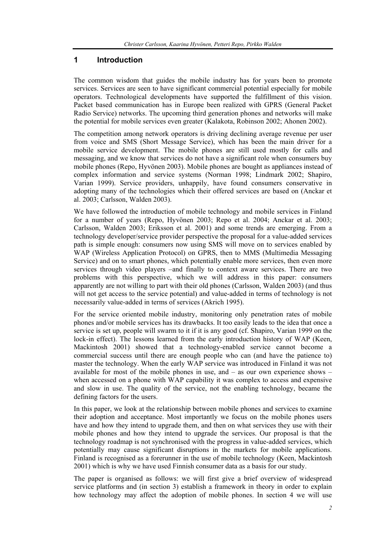## **1 Introduction**

The common wisdom that guides the mobile industry has for years been to promote services. Services are seen to have significant commercial potential especially for mobile operators. Technological developments have supported the fulfillment of this vision. Packet based communication has in Europe been realized with GPRS (General Packet Radio Service) networks. The upcoming third generation phones and networks will make the potential for mobile services even greater (Kalakota, Robinson 2002; Ahonen 2002).

The competition among network operators is driving declining average revenue per user from voice and SMS (Short Message Service), which has been the main driver for a mobile service development. The mobile phones are still used mostly for calls and messaging, and we know that services do not have a significant role when consumers buy mobile phones (Repo, Hyvönen 2003). Mobile phones are bought as appliances instead of complex information and service systems (Norman 1998; Lindmark 2002; Shapiro, Varian 1999). Service providers, unhappily, have found consumers conservative in adopting many of the technologies which their offered services are based on (Anckar et al. 2003; Carlsson, Walden 2003).

We have followed the introduction of mobile technology and mobile services in Finland for a number of years (Repo, Hyvönen 2003; Repo et al. 2004; Anckar et al. 2003; Carlsson, Walden 2003; Eriksson et al. 2001) and some trends are emerging. From a technology developer/service provider perspective the proposal for a value-added services path is simple enough: consumers now using SMS will move on to services enabled by WAP (Wireless Application Protocol) on GPRS, then to MMS (Multimedia Messaging Service) and on to smart phones, which potentially enable more services, then even more services through video players –and finally to context aware services. There are two problems with this perspective, which we will address in this paper: consumers apparently are not willing to part with their old phones (Carlsson, Walden 2003) (and thus will not get access to the service potential) and value-added in terms of technology is not necessarily value-added in terms of services (Akrich 1995).

For the service oriented mobile industry, monitoring only penetration rates of mobile phones and/or mobile services has its drawbacks. It too easily leads to the idea that once a service is set up, people will swarm to it if it is any good (cf. Shapiro, Varian 1999 on the lock-in effect). The lessons learned from the early introduction history of WAP (Keen, Mackintosh 2001) showed that a technology-enabled service cannot become a commercial success until there are enough people who can (and have the patience to) master the technology. When the early WAP service was introduced in Finland it was not available for most of the mobile phones in use, and  $-$  as our own experience shows  $$ when accessed on a phone with WAP capability it was complex to access and expensive and slow in use. The quality of the service, not the enabling technology, became the defining factors for the users.

In this paper, we look at the relationship between mobile phones and services to examine their adoption and acceptance. Most importantly we focus on the mobile phones users have and how they intend to upgrade them, and then on what services they use with their mobile phones and how they intend to upgrade the services. Our proposal is that the technology roadmap is not synchronised with the progress in value-added services, which potentially may cause significant disruptions in the markets for mobile applications. Finland is recognised as a forerunner in the use of mobile technology (Keen, Mackintosh 2001) which is why we have used Finnish consumer data as a basis for our study.

The paper is organised as follows: we will first give a brief overview of widespread service platforms and (in section 3) establish a framework in theory in order to explain how technology may affect the adoption of mobile phones. In section 4 we will use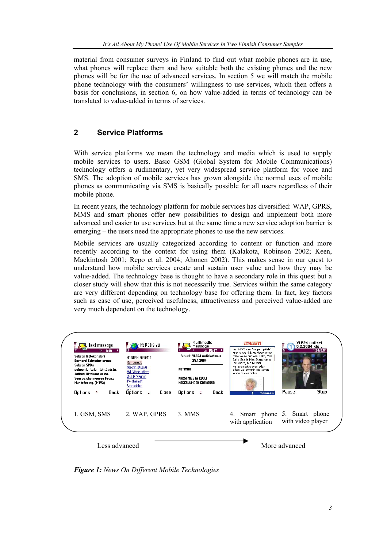material from consumer surveys in Finland to find out what mobile phones are in use, what phones will replace them and how suitable both the existing phones and the new phones will be for the use of advanced services. In section 5 we will match the mobile phone technology with the consumers' willingness to use services, which then offers a basis for conclusions, in section 6, on how value-added in terms of technology can be translated to value-added in terms of services.

# **2 Service Platforms**

With service platforms we mean the technology and media which is used to supply mobile services to users. Basic GSM (Global System for Mobile Communications) technology offers a rudimentary, yet very widespread service platform for voice and SMS. The adoption of mobile services has grown alongside the normal uses of mobile phones as communicating via SMS is basically possible for all users regardless of their mobile phone.

In recent years, the technology platform for mobile services has diversified: WAP, GPRS, MMS and smart phones offer new possibilities to design and implement both more advanced and easier to use services but at the same time a new service adoption barrier is emerging – the users need the appropriate phones to use the new services.

Mobile services are usually categorized according to content or function and more recently according to the context for using them (Kalakota, Robinson 2002; Keen, Mackintosh 2001; Repo et al. 2004; Ahonen 2002). This makes sense in our quest to understand how mobile services create and sustain user value and how they may be value-added. The technology base is thought to have a secondary role in this quest but a closer study will show that this is not necessarily true. Services within the same category are very different depending on technology base for offering them. In fact, key factors such as ease of use, perceived usefulness, attractiveness and perceived value-added are very much dependent on the technology.

| Text message<br>$\bullet$ $\overline{\bullet}$<br>1/49<br>Saksan liittokansleri<br>Gerhard Schräder eroga<br>Saksan SPD:n<br>puheen johta jan tehtävästä.<br>Jatkaa liittokanslerina.<br>Seuraajaksi nousee Franz<br>Müntefering. (MTV3)<br>Options<br>Back | $\blacksquare$ ( $\blacksquare$ ) IIS Kotisivu<br>HELSINGIN SANOMAT<br>HS Tuoreet)<br>Hesarin etusivu<br>Nyt Viihdeuutiset<br>Viivi ja Wagner<br>TV-ohjelmat<br>Säätiedotus<br><b>Options</b><br>Close | Multimedia<br>message<br>€a 10/47<br>Subject   YLE24 uutiskatsaus<br>25.1.2004<br>KOTIMAR:<br>KAKSI MIESTA KUOLI<br>HAKERULIMAAN KOTKASSA<br>Options<br>Back<br>٠ | 187.189.TT<br>Kun MTV3 saa "kaupan päälle"<br>Miss Suomi -kilvan oheen mvös<br>toisarvoisia Suomen Neito, Miss<br>Baltic Sea ja Miss Skandinavia<br>-mittelöitä, niin toivoisi<br>kanavan satsaavan edes<br>siihen vakavimmin otettavan<br>kilvan televisiointiin.<br><b>TAKAISIN</b> | YLE24 uutiset<br>6.2.2004 klo.<br>1.34/8.01<br>Stop<br>Pause |
|-------------------------------------------------------------------------------------------------------------------------------------------------------------------------------------------------------------------------------------------------------------|--------------------------------------------------------------------------------------------------------------------------------------------------------------------------------------------------------|-------------------------------------------------------------------------------------------------------------------------------------------------------------------|---------------------------------------------------------------------------------------------------------------------------------------------------------------------------------------------------------------------------------------------------------------------------------------|--------------------------------------------------------------|
| 1. GSM, SMS                                                                                                                                                                                                                                                 | 2. WAP, GPRS                                                                                                                                                                                           | 3. MMS                                                                                                                                                            | with application                                                                                                                                                                                                                                                                      | 4. Smart phone 5. Smart phone<br>with video player           |
| Less advanced                                                                                                                                                                                                                                               |                                                                                                                                                                                                        |                                                                                                                                                                   |                                                                                                                                                                                                                                                                                       | More advanced                                                |

*Figure 1: News On Different Mobile Technologies*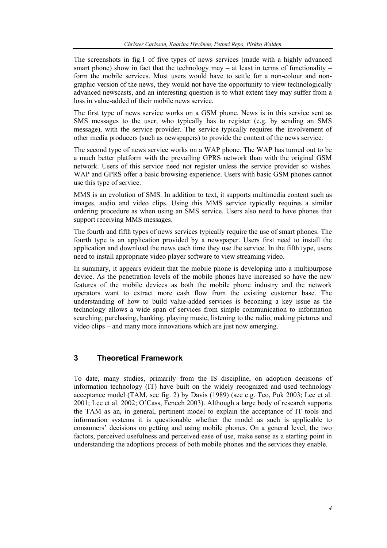The screenshots in fig.1 of five types of news services (made with a highly advanced smart phone) show in fact that the technology may – at least in terms of functionality – form the mobile services. Most users would have to settle for a non-colour and nongraphic version of the news, they would not have the opportunity to view technologically advanced newscasts, and an interesting question is to what extent they may suffer from a loss in value-added of their mobile news service.

The first type of news service works on a GSM phone. News is in this service sent as SMS messages to the user, who typically has to register (e.g. by sending an SMS message), with the service provider. The service typically requires the involvement of other media producers (such as newspapers) to provide the content of the news service.

The second type of news service works on a WAP phone. The WAP has turned out to be a much better platform with the prevailing GPRS network than with the original GSM network. Users of this service need not register unless the service provider so wishes. WAP and GPRS offer a basic browsing experience. Users with basic GSM phones cannot use this type of service.

MMS is an evolution of SMS. In addition to text, it supports multimedia content such as images, audio and video clips. Using this MMS service typically requires a similar ordering procedure as when using an SMS service. Users also need to have phones that support receiving MMS messages.

The fourth and fifth types of news services typically require the use of smart phones. The fourth type is an application provided by a newspaper. Users first need to install the application and download the news each time they use the service. In the fifth type, users need to install appropriate video player software to view streaming video.

In summary, it appears evident that the mobile phone is developing into a multipurpose device. As the penetration levels of the mobile phones have increased so have the new features of the mobile devices as both the mobile phone industry and the network operators want to extract more cash flow from the existing customer base. The understanding of how to build value-added services is becoming a key issue as the technology allows a wide span of services from simple communication to information searching, purchasing, banking, playing music, listening to the radio, making pictures and video clips – and many more innovations which are just now emerging.

# **3 Theoretical Framework**

To date, many studies, primarily from the IS discipline, on adoption decisions of information technology (IT) have built on the widely recognized and used technology acceptance model (TAM, see fig. 2) by Davis (1989) (see e.g. Teo, Pok 2003; Lee et al. 2001; Lee et al. 2002; O'Cass, Fenech 2003). Although a large body of research supports the TAM as an, in general, pertinent model to explain the acceptance of IT tools and information systems it is questionable whether the model as such is applicable to consumers' decisions on getting and using mobile phones. On a general level, the two factors, perceived usefulness and perceived ease of use, make sense as a starting point in understanding the adoptions process of both mobile phones and the services they enable.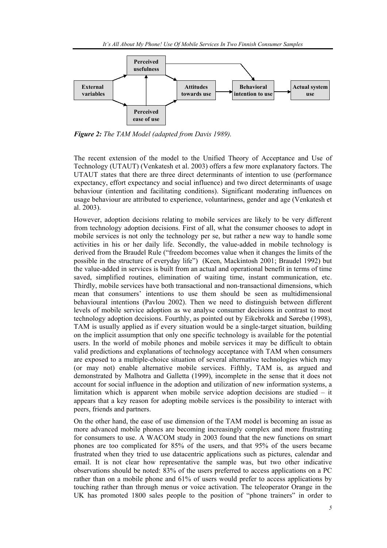

*Figure 2: The TAM Model (adapted from Davis 1989).* 

The recent extension of the model to the Unified Theory of Acceptance and Use of Technology (UTAUT) (Venkatesh et al. 2003) offers a few more explanatory factors. The UTAUT states that there are three direct determinants of intention to use (performance expectancy, effort expectancy and social influence) and two direct determinants of usage behaviour (intention and facilitating conditions). Significant moderating influences on usage behaviour are attributed to experience, voluntariness, gender and age (Venkatesh et al. 2003).

However, adoption decisions relating to mobile services are likely to be very different from technology adoption decisions. First of all, what the consumer chooses to adopt in mobile services is not only the technology per se, but rather a new way to handle some activities in his or her daily life. Secondly, the value-added in mobile technology is derived from the Braudel Rule ("freedom becomes value when it changes the limits of the possible in the structure of everyday life") (Keen, Mackintosh 2001; Braudel 1992) but the value-added in services is built from an actual and operational benefit in terms of time saved, simplified routines, elimination of waiting time, instant communication, etc. Thirdly, mobile services have both transactional and non-transactional dimensions, which mean that consumers' intentions to use them should be seen as multidimensional behavioural intentions (Pavlou 2002). Then we need to distinguish between different levels of mobile service adoption as we analyse consumer decisions in contrast to most technology adoption decisions. Fourthly, as pointed out by Eikebrokk and Sørebø (1998), TAM is usually applied as if every situation would be a single-target situation, building on the implicit assumption that only one specific technology is available for the potential users. In the world of mobile phones and mobile services it may be difficult to obtain valid predictions and explanations of technology acceptance with TAM when consumers are exposed to a multiple-choice situation of several alternative technologies which may (or may not) enable alternative mobile services. Fifthly, TAM is, as argued and demonstrated by Malhotra and Galletta (1999), incomplete in the sense that it does not account for social influence in the adoption and utilization of new information systems, a limitation which is apparent when mobile service adoption decisions are studied – it appears that a key reason for adopting mobile services is the possibility to interact with peers, friends and partners.

On the other hand, the ease of use dimension of the TAM model is becoming an issue as more advanced mobile phones are becoming increasingly complex and more frustrating for consumers to use. A WACOM study in 2003 found that the new functions on smart phones are too complicated for 85% of the users, and that 95% of the users became frustrated when they tried to use datacentric applications such as pictures, calendar and email. It is not clear how representative the sample was, but two other indicative observations should be noted: 83% of the users preferred to access applications on a PC rather than on a mobile phone and 61% of users would prefer to access applications by touching rather than through menus or voice activation. The teleoperator Orange in the UK has promoted 1800 sales people to the position of "phone trainers" in order to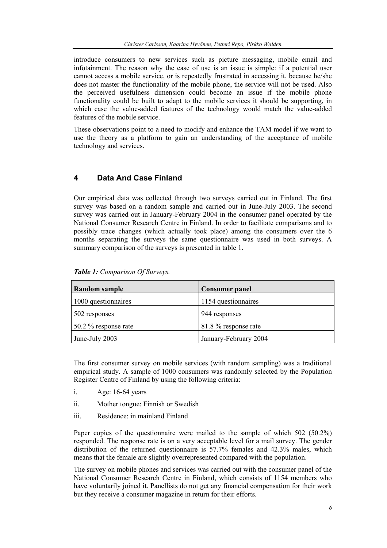introduce consumers to new services such as picture messaging, mobile email and infotainment. The reason why the ease of use is an issue is simple: if a potential user cannot access a mobile service, or is repeatedly frustrated in accessing it, because he/she does not master the functionality of the mobile phone, the service will not be used. Also the perceived usefulness dimension could become an issue if the mobile phone functionality could be built to adapt to the mobile services it should be supporting, in which case the value-added features of the technology would match the value-added features of the mobile service.

These observations point to a need to modify and enhance the TAM model if we want to use the theory as a platform to gain an understanding of the acceptance of mobile technology and services.

## **4 Data And Case Finland**

Our empirical data was collected through two surveys carried out in Finland. The first survey was based on a random sample and carried out in June-July 2003. The second survey was carried out in January-February 2004 in the consumer panel operated by the National Consumer Research Centre in Finland. In order to facilitate comparisons and to possibly trace changes (which actually took place) among the consumers over the 6 months separating the surveys the same questionnaire was used in both surveys. A summary comparison of the surveys is presented in table 1.

| <b>Random sample</b>         | <b>Consumer panel</b> |  |  |
|------------------------------|-----------------------|--|--|
| 1000 questionnaires          | 1154 questionnaires   |  |  |
| $\vert$ 502 responses        | 944 responses         |  |  |
| $\vert$ 50.2 % response rate | 81.8 % response rate  |  |  |
| June-July 2003               | January-February 2004 |  |  |

*Table 1: Comparison Of Surveys.* 

The first consumer survey on mobile services (with random sampling) was a traditional empirical study. A sample of 1000 consumers was randomly selected by the Population Register Centre of Finland by using the following criteria:

- i. Age: 16-64 years
- ii. Mother tongue: Finnish or Swedish
- iii. Residence: in mainland Finland

Paper copies of the questionnaire were mailed to the sample of which 502 (50.2%) responded. The response rate is on a very acceptable level for a mail survey. The gender distribution of the returned questionnaire is 57.7% females and 42.3% males, which means that the female are slightly overrepresented compared with the population.

The survey on mobile phones and services was carried out with the consumer panel of the National Consumer Research Centre in Finland, which consists of 1154 members who have voluntarily joined it. Panellists do not get any financial compensation for their work but they receive a consumer magazine in return for their efforts.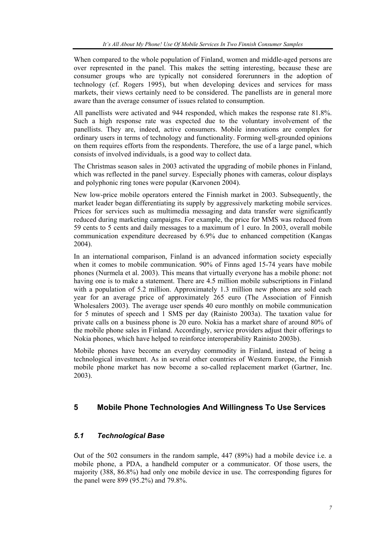When compared to the whole population of Finland, women and middle-aged persons are over represented in the panel. This makes the setting interesting, because these are consumer groups who are typically not considered forerunners in the adoption of technology (cf. Rogers 1995), but when developing devices and services for mass markets, their views certainly need to be considered. The panellists are in general more aware than the average consumer of issues related to consumption.

All panellists were activated and 944 responded, which makes the response rate 81.8%. Such a high response rate was expected due to the voluntary involvement of the panellists. They are, indeed, active consumers. Mobile innovations are complex for ordinary users in terms of technology and functionality. Forming well-grounded opinions on them requires efforts from the respondents. Therefore, the use of a large panel, which consists of involved individuals, is a good way to collect data.

The Christmas season sales in 2003 activated the upgrading of mobile phones in Finland, which was reflected in the panel survey. Especially phones with cameras, colour displays and polyphonic ring tones were popular (Karvonen 2004).

New low-price mobile operators entered the Finnish market in 2003. Subsequently, the market leader began differentiating its supply by aggressively marketing mobile services. Prices for services such as multimedia messaging and data transfer were significantly reduced during marketing campaigns. For example, the price for MMS was reduced from 59 cents to 5 cents and daily messages to a maximum of 1 euro. In 2003, overall mobile communication expenditure decreased by 6.9% due to enhanced competition (Kangas 2004).

In an international comparison, Finland is an advanced information society especially when it comes to mobile communication. 90% of Finns aged 15-74 years have mobile phones (Nurmela et al. 2003). This means that virtually everyone has a mobile phone: not having one is to make a statement. There are 4.5 million mobile subscriptions in Finland with a population of 5.2 million. Approximately 1.3 million new phones are sold each year for an average price of approximately 265 euro (The Association of Finnish Wholesalers 2003). The average user spends 40 euro monthly on mobile communication for 5 minutes of speech and 1 SMS per day (Rainisto 2003a). The taxation value for private calls on a business phone is 20 euro. Nokia has a market share of around 80% of the mobile phone sales in Finland. Accordingly, service providers adjust their offerings to Nokia phones, which have helped to reinforce interoperability Rainisto 2003b).

Mobile phones have become an everyday commodity in Finland, instead of being a technological investment. As in several other countries of Western Europe, the Finnish mobile phone market has now become a so-called replacement market (Gartner, Inc. 2003).

## **5 Mobile Phone Technologies And Willingness To Use Services**

### *5.1 Technological Base*

Out of the 502 consumers in the random sample, 447 (89%) had a mobile device i.e. a mobile phone, a PDA, a handheld computer or a communicator. Of those users, the majority (388, 86.8%) had only one mobile device in use. The corresponding figures for the panel were 899 (95.2%) and 79.8%.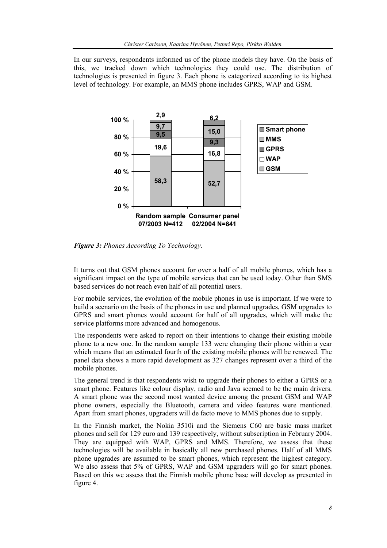In our surveys, respondents informed us of the phone models they have. On the basis of this, we tracked down which technologies they could use. The distribution of technologies is presented in figure 3. Each phone is categorized according to its highest level of technology. For example, an MMS phone includes GPRS, WAP and GSM.



*Figure 3: Phones According To Technology.* 

It turns out that GSM phones account for over a half of all mobile phones, which has a significant impact on the type of mobile services that can be used today. Other than SMS based services do not reach even half of all potential users.

For mobile services, the evolution of the mobile phones in use is important. If we were to build a scenario on the basis of the phones in use and planned upgrades, GSM upgrades to GPRS and smart phones would account for half of all upgrades, which will make the service platforms more advanced and homogenous.

The respondents were asked to report on their intentions to change their existing mobile phone to a new one. In the random sample 133 were changing their phone within a year which means that an estimated fourth of the existing mobile phones will be renewed. The panel data shows a more rapid development as 327 changes represent over a third of the mobile phones.

The general trend is that respondents wish to upgrade their phones to either a GPRS or a smart phone. Features like colour display, radio and Java seemed to be the main drivers. A smart phone was the second most wanted device among the present GSM and WAP phone owners, especially the Bluetooth, camera and video features were mentioned. Apart from smart phones, upgraders will de facto move to MMS phones due to supply.

In the Finnish market, the Nokia 3510i and the Siemens C60 are basic mass market phones and sell for 129 euro and 139 respectively, without subscription in February 2004. They are equipped with WAP, GPRS and MMS. Therefore, we assess that these technologies will be available in basically all new purchased phones. Half of all MMS phone upgrades are assumed to be smart phones, which represent the highest category. We also assess that 5% of GPRS, WAP and GSM upgraders will go for smart phones. Based on this we assess that the Finnish mobile phone base will develop as presented in figure 4.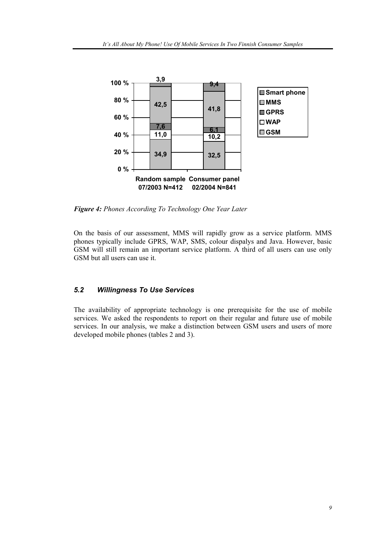

*Figure 4: Phones According To Technology One Year Later* 

On the basis of our assessment, MMS will rapidly grow as a service platform. MMS phones typically include GPRS, WAP, SMS, colour dispalys and Java. However, basic GSM will still remain an important service platform. A third of all users can use only GSM but all users can use it.

# *5.2 Willingness To Use Services*

The availability of appropriate technology is one prerequisite for the use of mobile services. We asked the respondents to report on their regular and future use of mobile services. In our analysis, we make a distinction between GSM users and users of more developed mobile phones (tables 2 and 3).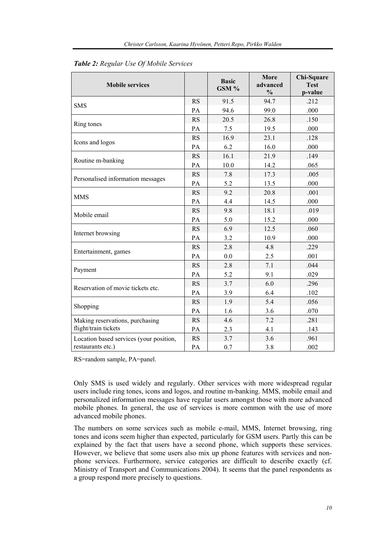| <b>Mobile services</b>                  |           | <b>Basic</b><br>GSM % | More<br>advanced<br>$\frac{0}{0}$ | Chi-Square<br><b>Test</b><br>p-value |
|-----------------------------------------|-----------|-----------------------|-----------------------------------|--------------------------------------|
|                                         | <b>RS</b> | 91.5                  | 94.7                              | .212                                 |
| <b>SMS</b>                              | PA        | 94.6                  | 99.0                              | .000                                 |
|                                         | <b>RS</b> | 20.5                  | 26.8                              | .150                                 |
| Ring tones                              | PA        | 7.5                   | 19.5                              | .000                                 |
|                                         | <b>RS</b> | 16.9                  | 23.1                              | .128                                 |
| Icons and logos                         | PA        | 6.2                   | 16.0                              | .000                                 |
|                                         | <b>RS</b> | 16.1                  | 21.9                              | .149                                 |
| Routine m-banking                       | PA        | 10.0                  | 14.2                              | .065                                 |
|                                         | <b>RS</b> | 7.8                   | 17.3                              | .005                                 |
| Personalised information messages       | PA        | 5.2                   | 13.5                              | .000                                 |
| <b>MMS</b>                              | <b>RS</b> | 9.2                   | 20.8                              | .001                                 |
|                                         | PA        | 4.4                   | 14.5                              | .000                                 |
|                                         | <b>RS</b> | 9.8                   | 18.1                              | .019                                 |
| Mobile email                            | PA        | 5.0                   | 15.2                              | .000                                 |
|                                         | <b>RS</b> | 6.9                   | 12.5                              | .060                                 |
| Internet browsing                       | PA        | 3.2                   | 10.9                              | .000                                 |
|                                         | <b>RS</b> | 2.8                   | 4.8                               | .229                                 |
| Entertainment, games                    | PA        | 0.0                   | 2.5                               | .001                                 |
|                                         | <b>RS</b> | 2.8                   | 7.1                               | .044                                 |
| Payment                                 | PA        | 5.2                   | 9.1                               | .029                                 |
| Reservation of movie tickets etc.       | <b>RS</b> | 3.7                   | 6.0                               | .296                                 |
|                                         | PA        | 3.9                   | 6.4                               | .102                                 |
|                                         | <b>RS</b> | 1.9                   | 5.4                               | .056                                 |
| Shopping                                | PA        | 1.6                   | 3.6                               | .070                                 |
| Making reservations, purchasing         | <b>RS</b> | 4.6                   | 7.2                               | .281                                 |
| flight/train tickets                    | PA        | 2.3                   | 4.1                               | .143                                 |
| Location based services (your position, | <b>RS</b> | 3.7                   | 3.6                               | .961                                 |
| restaurants etc.)                       | PA        | 0.7                   | 3.8                               | .002                                 |

*Table 2: Regular Use Of Mobile Services*

RS=random sample, PA=panel.

Only SMS is used widely and regularly. Other services with more widespread regular users include ring tones, icons and logos, and routine m-banking. MMS, mobile email and personalized information messages have regular users amongst those with more advanced mobile phones. In general, the use of services is more common with the use of more advanced mobile phones.

The numbers on some services such as mobile e-mail, MMS, Internet browsing, ring tones and icons seem higher than expected, particularly for GSM users. Partly this can be explained by the fact that users have a second phone, which supports these services. However, we believe that some users also mix up phone features with services and nonphone services. Furthermore, service categories are difficult to describe exactly (cf. Ministry of Transport and Communications 2004). It seems that the panel respondents as a group respond more precisely to questions.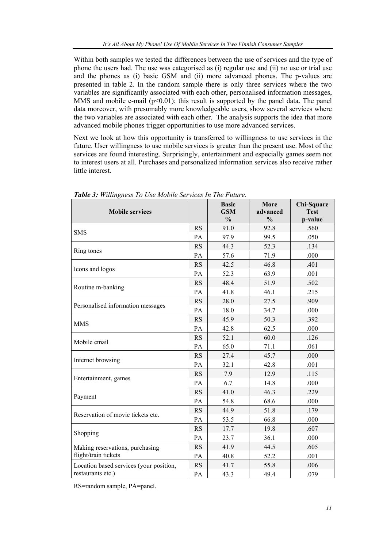Within both samples we tested the differences between the use of services and the type of phone the users had. The use was categorised as (i) regular use and (ii) no use or trial use and the phones as (i) basic GSM and (ii) more advanced phones. The p-values are presented in table 2. In the random sample there is only three services where the two variables are significantly associated with each other, personalised information messages, MMS and mobile e-mail  $(p<0.01)$ ; this result is supported by the panel data. The panel data moreover, with presumably more knowledgeable users, show several services where the two variables are associated with each other. The analysis supports the idea that more advanced mobile phones trigger opportunities to use more advanced services.

Next we look at how this opportunity is transferred to willingness to use services in the future. User willingness to use mobile services is greater than the present use. Most of the services are found interesting. Surprisingly, entertainment and especially games seem not to interest users at all. Purchases and personalized information services also receive rather little interest.

| <b>Mobile services</b>                  |           | <b>Basic</b><br><b>GSM</b><br>$\frac{0}{0}$ | More<br>advanced<br>$\frac{0}{0}$ | Chi-Square<br><b>Test</b><br>p-value |
|-----------------------------------------|-----------|---------------------------------------------|-----------------------------------|--------------------------------------|
|                                         | <b>RS</b> | 91.0                                        | 92.8                              | .560                                 |
| <b>SMS</b>                              | PA        | 97.9                                        | 99.5                              | .050                                 |
|                                         | <b>RS</b> | 44.3                                        | 52.3                              | .134                                 |
| Ring tones                              | PA        | 57.6                                        | 71.9                              | .000                                 |
|                                         | <b>RS</b> | 42.5                                        | 46.8                              | .401                                 |
| Icons and logos                         | PA        | 52.3                                        | 63.9                              | .001                                 |
|                                         | <b>RS</b> | 48.4                                        | 51.9                              | .502                                 |
| Routine m-banking                       | PA        | 41.8                                        | 46.1                              | .215                                 |
|                                         | <b>RS</b> | 28.0                                        | 27.5                              | .909                                 |
| Personalised information messages       | PA        | 18.0                                        | 34.7                              | .000                                 |
| <b>MMS</b>                              | <b>RS</b> | 45.9                                        | 50.3                              | .392                                 |
|                                         | PA        | 42.8                                        | 62.5                              | .000                                 |
| Mobile email                            | <b>RS</b> | 52.1                                        | 60.0                              | .126                                 |
|                                         | PA        | 65.0                                        | 71.1                              | .061                                 |
|                                         | <b>RS</b> | 27.4                                        | 45.7                              | .000                                 |
| Internet browsing                       | PA        | 32.1                                        | 42.8                              | .001                                 |
|                                         | <b>RS</b> | 7.9                                         | 12.9                              | .115                                 |
| Entertainment, games                    | PA        | 6.7                                         | 14.8                              | .000                                 |
|                                         | <b>RS</b> | 41.0                                        | 46.3                              | .229                                 |
| Payment                                 | PA        | 54.8                                        | 68.6                              | .000                                 |
| Reservation of movie tickets etc.       | <b>RS</b> | 44.9                                        | 51.8                              | .179                                 |
|                                         | PA        | 53.5                                        | 66.8                              | .000                                 |
|                                         | <b>RS</b> | 17.7                                        | 19.8                              | .607                                 |
| Shopping                                | PA        | 23.7                                        | 36.1                              | .000                                 |
| Making reservations, purchasing         | <b>RS</b> | 41.9                                        | 44.5                              | .605                                 |
| flight/train tickets                    | PA        | 40.8                                        | 52.2                              | .001                                 |
| Location based services (your position, | <b>RS</b> | 41.7                                        | 55.8                              | .006                                 |
| restaurants etc.)                       | PA        | 43.3                                        | 49.4                              | .079                                 |

*Table 3: Willingness To Use Mobile Services In The Future.* 

RS=random sample, PA=panel.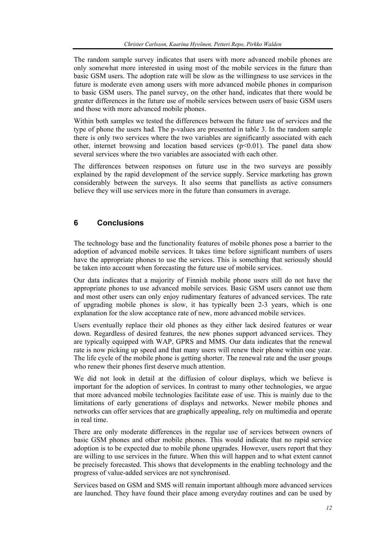The random sample survey indicates that users with more advanced mobile phones are only somewhat more interested in using most of the mobile services in the future than basic GSM users. The adoption rate will be slow as the willingness to use services in the future is moderate even among users with more advanced mobile phones in comparison to basic GSM users. The panel survey, on the other hand, indicates that there would be greater differences in the future use of mobile services between users of basic GSM users and those with more advanced mobile phones.

Within both samples we tested the differences between the future use of services and the type of phone the users had. The p-values are presented in table 3. In the random sample there is only two services where the two variables are significantly associated with each other, internet browsing and location based services  $(p<0.01)$ . The panel data show several services where the two variables are associated with each other.

The differences between responses on future use in the two surveys are possibly explained by the rapid development of the service supply. Service marketing has grown considerably between the surveys. It also seems that panellists as active consumers believe they will use services more in the future than consumers in average.

# **6 Conclusions**

The technology base and the functionality features of mobile phones pose a barrier to the adoption of advanced mobile services. It takes time before significant numbers of users have the appropriate phones to use the services. This is something that seriously should be taken into account when forecasting the future use of mobile services.

Our data indicates that a majority of Finnish mobile phone users still do not have the appropriate phones to use advanced mobile services. Basic GSM users cannot use them and most other users can only enjoy rudimentary features of advanced services. The rate of upgrading mobile phones is slow, it has typically been 2-3 years, which is one explanation for the slow acceptance rate of new, more advanced mobile services.

Users eventually replace their old phones as they either lack desired features or wear down. Regardless of desired features, the new phones support advanced services. They are typically equipped with WAP, GPRS and MMS. Our data indicates that the renewal rate is now picking up speed and that many users will renew their phone within one year. The life cycle of the mobile phone is getting shorter. The renewal rate and the user groups who renew their phones first deserve much attention.

We did not look in detail at the diffusion of colour displays, which we believe is important for the adoption of services. In contrast to many other technologies, we argue that more advanced mobile technologies facilitate ease of use. This is mainly due to the limitations of early generations of displays and networks. Newer mobile phones and networks can offer services that are graphically appealing, rely on multimedia and operate in real time.

There are only moderate differences in the regular use of services between owners of basic GSM phones and other mobile phones. This would indicate that no rapid service adoption is to be expected due to mobile phone upgrades. However, users report that they are willing to use services in the future. When this will happen and to what extent cannot be precisely forecasted. This shows that developments in the enabling technology and the progress of value-added services are not synchronised.

Services based on GSM and SMS will remain important although more advanced services are launched. They have found their place among everyday routines and can be used by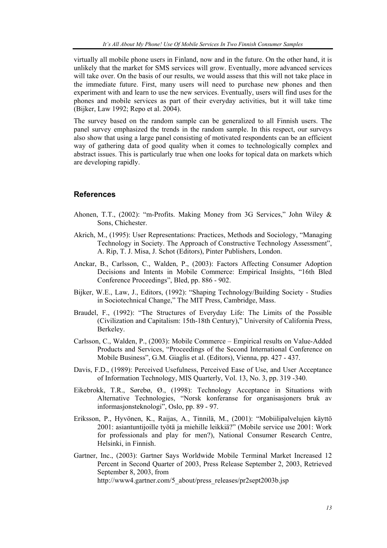virtually all mobile phone users in Finland, now and in the future. On the other hand, it is unlikely that the market for SMS services will grow. Eventually, more advanced services will take over. On the basis of our results, we would assess that this will not take place in the immediate future. First, many users will need to purchase new phones and then experiment with and learn to use the new services. Eventually, users will find uses for the phones and mobile services as part of their everyday activities, but it will take time (Bijker, Law 1992; Repo et al. 2004).

The survey based on the random sample can be generalized to all Finnish users. The panel survey emphasized the trends in the random sample. In this respect, our surveys also show that using a large panel consisting of motivated respondents can be an efficient way of gathering data of good quality when it comes to technologically complex and abstract issues. This is particularly true when one looks for topical data on markets which are developing rapidly.

## **References**

- Ahonen, T.T., (2002): "m-Profits. Making Money from 3G Services," John Wiley & Sons, Chichester.
- Akrich, M., (1995): User Representations: Practices, Methods and Sociology, "Managing Technology in Society. The Approach of Constructive Technology Assessment", A. Rip, T. J. Misa, J. Schot (Editors), Pinter Publishers, London.
- Anckar, B., Carlsson, C., Walden, P., (2003): Factors Affecting Consumer Adoption Decisions and Intents in Mobile Commerce: Empirical Insights, "16th Bled Conference Proceedings", Bled, pp. 886 - 902.
- Bijker, W.E., Law, J., Editors, (1992): "Shaping Technology/Building Society Studies in Sociotechnical Change," The MIT Press, Cambridge, Mass.
- Braudel, F., (1992): "The Structures of Everyday Life: The Limits of the Possible (Civilization and Capitalism: 15th-18th Century)," University of California Press, Berkeley.
- Carlsson, C., Walden, P., (2003): Mobile Commerce Empirical results on Value-Added Products and Services, "Proceedings of the Second International Conference on Mobile Business", G.M. Giaglis et al. (Editors), Vienna, pp. 427 - 437.
- Davis, F.D., (1989): Perceived Usefulness, Perceived Ease of Use, and User Acceptance of Information Technology, MIS Quarterly, Vol. 13, No. 3, pp. 319 -340.
- Eikebrokk, T.R., Sørebø, Ø., (1998): Technology Acceptance in Situations with Alternative Technologies, "Norsk konferanse for organisasjoners bruk av informasjonsteknologi", Oslo, pp. 89 - 97.
- Eriksson, P., Hyvönen, K., Raijas, A., Tinnilä, M., (2001): "Mobiilipalvelujen käyttö 2001: asiantuntijoille työtä ja miehille leikkiä?" (Mobile service use 2001: Work for professionals and play for men?), National Consumer Research Centre, Helsinki, in Finnish.
- Gartner, Inc., (2003): Gartner Says Worldwide Mobile Terminal Market Increased 12 Percent in Second Quarter of 2003, Press Release September 2, 2003, Retrieved September 8, 2003, from http://www4.gartner.com/5\_about/press\_releases/pr2sept2003b.jsp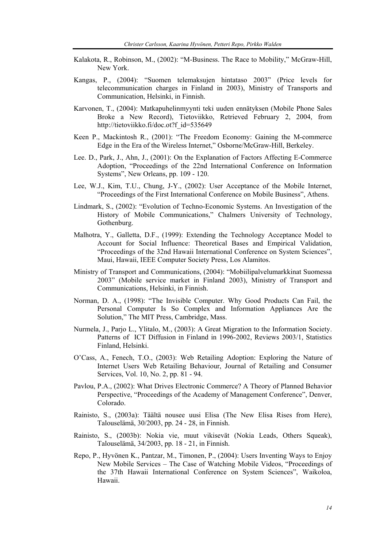- Kalakota, R., Robinson, M., (2002): "M-Business. The Race to Mobility," McGraw-Hill, New York.
- Kangas, P., (2004): "Suomen telemaksujen hintataso 2003" (Price levels for telecommunication charges in Finland in 2003), Ministry of Transports and Communication, Helsinki, in Finnish.
- Karvonen, T., (2004): Matkapuhelinmyynti teki uuden ennätyksen (Mobile Phone Sales Broke a New Record), Tietoviikko, Retrieved February 2, 2004, from http://tietoviikko.fi/doc.ot?f\_id=535649
- Keen P., Mackintosh R., (2001): "The Freedom Economy: Gaining the M-commerce Edge in the Era of the Wireless Internet," Osborne/McGraw-Hill, Berkeley.
- Lee. D., Park, J., Ahn, J., (2001): On the Explanation of Factors Affecting E-Commerce Adoption, "Proceedings of the 22nd International Conference on Information Systems", New Orleans, pp. 109 - 120.
- Lee, W.J., Kim, T.U., Chung, J-Y., (2002): User Acceptance of the Mobile Internet, "Proceedings of the First International Conference on Mobile Business", Athens.
- Lindmark, S., (2002): "Evolution of Techno-Economic Systems. An Investigation of the History of Mobile Communications," Chalmers University of Technology, Gothenburg.
- Malhotra, Y., Galletta, D.F., (1999): Extending the Technology Acceptance Model to Account for Social Influence: Theoretical Bases and Empirical Validation, "Proceedings of the 32nd Hawaii International Conference on System Sciences", Maui, Hawaii, IEEE Computer Society Press, Los Alamitos.
- Ministry of Transport and Communications, (2004): "Mobiilipalvelumarkkinat Suomessa 2003" (Mobile service market in Finland 2003), Ministry of Transport and Communications, Helsinki, in Finnish.
- Norman, D. A., (1998): "The Invisible Computer. Why Good Products Can Fail, the Personal Computer Is So Complex and Information Appliances Are the Solution," The MIT Press, Cambridge, Mass.
- Nurmela, J., Parjo L., Ylitalo, M., (2003): A Great Migration to the Information Society. Patterns of ICT Diffusion in Finland in 1996-2002, Reviews 2003/1, Statistics Finland, Helsinki.
- O'Cass, A., Fenech, T.O., (2003): Web Retailing Adoption: Exploring the Nature of Internet Users Web Retailing Behaviour, Journal of Retailing and Consumer Services, Vol. 10, No. 2, pp. 81 - 94.
- Pavlou, P.A., (2002): What Drives Electronic Commerce? A Theory of Planned Behavior Perspective, "Proceedings of the Academy of Management Conference", Denver, Colorado.
- Rainisto, S., (2003a): Täältä nousee uusi Elisa (The New Elisa Rises from Here), Talouselämä, 30/2003, pp. 24 - 28, in Finnish.
- Rainisto, S., (2003b): Nokia vie, muut vikisevät (Nokia Leads, Others Squeak), Talouselämä, 34/2003, pp. 18 - 21, in Finnish.
- Repo, P., Hyvönen K., Pantzar, M., Timonen, P., (2004): Users Inventing Ways to Enjoy New Mobile Services – The Case of Watching Mobile Videos, "Proceedings of the 37th Hawaii International Conference on System Sciences", Waikoloa, Hawaii.